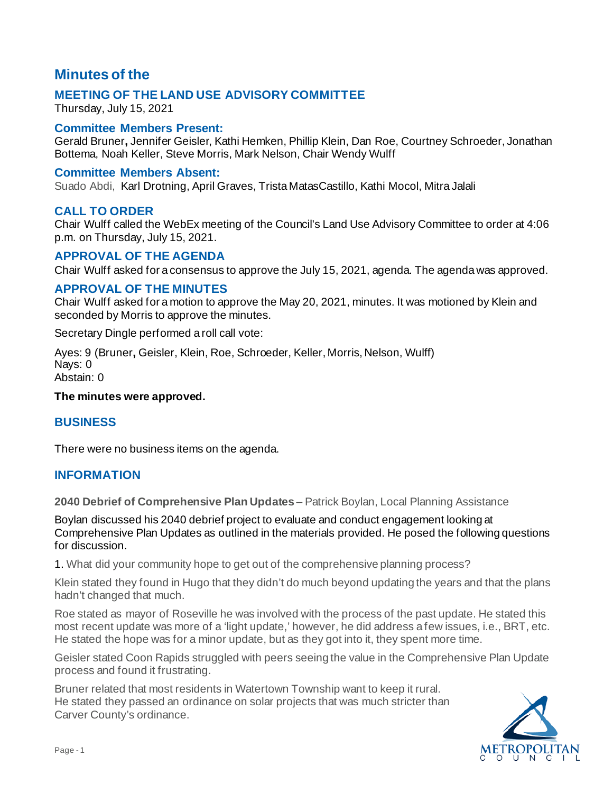# **Minutes of the**

# **MEETING OF THE LAND USE ADVISORY COMMITTEE**

Thursday, July 15, 2021

#### **Committee Members Present:**

Gerald Bruner**,** Jennifer Geisler, Kathi Hemken, Phillip Klein, Dan Roe, Courtney Schroeder, Jonathan Bottema, Noah Keller, Steve Morris, Mark Nelson, Chair Wendy Wulff

#### **Committee Members Absent:**

Suado Abdi, Karl Drotning, April Graves, Trista MatasCastillo, Kathi Mocol, Mitra Jalali

## **CALL TO ORDER**

Chair Wulff called the WebEx meeting of the Council's Land Use Advisory Committee to order at 4:06 p.m. on Thursday, July 15, 2021.

## **APPROVAL OF THE AGENDA**

Chair Wulff asked for a consensus to approve the July 15, 2021, agenda. The agenda was approved.

## **APPROVAL OF THE MINUTES**

Chair Wulff asked for a motion to approve the May 20, 2021, minutes. It was motioned by Klein and seconded by Morris to approve the minutes.

Secretary Dingle performed a roll call vote:

Ayes: 9 (Bruner**,** Geisler, Klein, Roe, Schroeder, Keller, Morris, Nelson, Wulff) Nays: 0 Abstain: 0

#### **The minutes were approved.**

#### **BUSINESS**

There were no business items on the agenda.

# **INFORMATION**

**2040 Debrief of Comprehensive Plan Updates** – Patrick Boylan, Local Planning Assistance

Boylan discussed his 2040 debrief project to evaluate and conduct engagement looking at Comprehensive Plan Updates as outlined in the materials provided. He posed the following questions for discussion.

1. What did your community hope to get out of the comprehensive planning process?

Klein stated they found in Hugo that they didn't do much beyond updating the years and that the plans hadn't changed that much.

Roe stated as mayor of Roseville he was involved with the process of the past update. He stated this most recent update was more of a 'light update,' however, he did address a few issues, i.e., BRT, etc. He stated the hope was for a minor update, but as they got into it, they spent more time.

Geisler stated Coon Rapids struggled with peers seeing the value in the Comprehensive Plan Update process and found it frustrating.

Bruner related that most residents in Watertown Township want to keep it rural. He stated they passed an ordinance on solar projects that was much stricter than Carver County's ordinance.

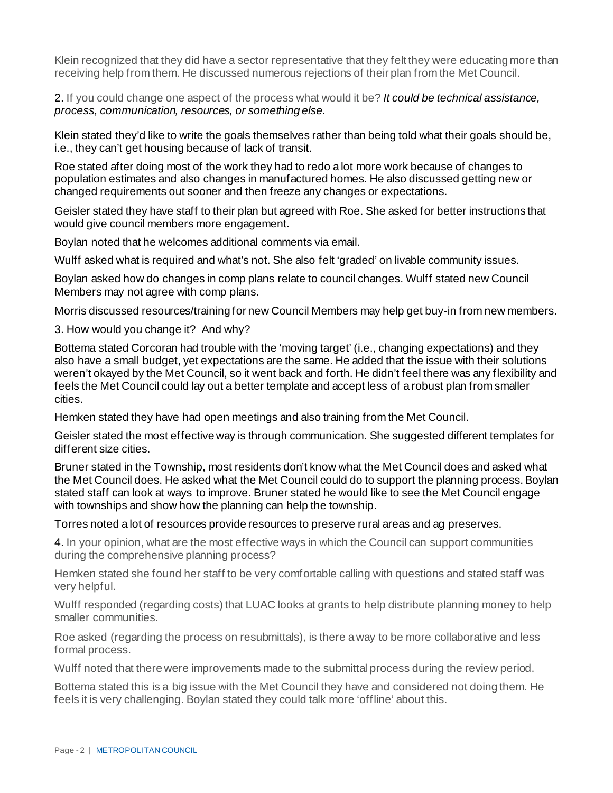Klein recognized that they did have a sector representative that they felt they were educating more than receiving help from them. He discussed numerous rejections of their plan from the Met Council.

2. If you could change one aspect of the process what would it be? *It could be technical assistance, process, communication, resources, or something else.*

Klein stated they'd like to write the goals themselves rather than being told what their goals should be, i.e., they can't get housing because of lack of transit.

Roe stated after doing most of the work they had to redo a lot more work because of changes to population estimates and also changes in manufactured homes. He also discussed getting new or changed requirements out sooner and then freeze any changes or expectations.

Geisler stated they have staff to their plan but agreed with Roe. She asked for better instructions that would give council members more engagement.

Boylan noted that he welcomes additional comments via email.

Wulff asked what is required and what's not. She also felt 'graded' on livable community issues.

Boylan asked how do changes in comp plans relate to council changes. Wulff stated new Council Members may not agree with comp plans.

Morris discussed resources/training for new Council Members may help get buy-in from new members.

3. How would you change it? And why?

Bottema stated Corcoran had trouble with the 'moving target' (i.e., changing expectations) and they also have a small budget, yet expectations are the same. He added that the issue with their solutions weren't okayed by the Met Council, so it went back and forth. He didn't feel there was any flexibility and feels the Met Council could lay out a better template and accept less of a robust plan from smaller cities.

Hemken stated they have had open meetings and also training from the Met Council.

Geisler stated the most effective way is through communication. She suggested different templates for different size cities.

Bruner stated in the Township, most residents don't know what the Met Council does and asked what the Met Council does. He asked what the Met Council could do to support the planning process. Boylan stated staff can look at ways to improve. Bruner stated he would like to see the Met Council engage with townships and show how the planning can help the township.

Torres noted a lot of resources provide resources to preserve rural areas and ag preserves.

4. In your opinion, what are the most effective ways in which the Council can support communities during the comprehensive planning process?

Hemken stated she found her staff to be very comfortable calling with questions and stated staff was very helpful.

Wulff responded (regarding costs) that LUAC looks at grants to help distribute planning money to help smaller communities.

Roe asked (regarding the process on resubmittals), is there a way to be more collaborative and less formal process.

Wulff noted that there were improvements made to the submittal process during the review period.

Bottema stated this is a big issue with the Met Council they have and considered not doing them. He feels it is very challenging. Boylan stated they could talk more 'offline' about this.